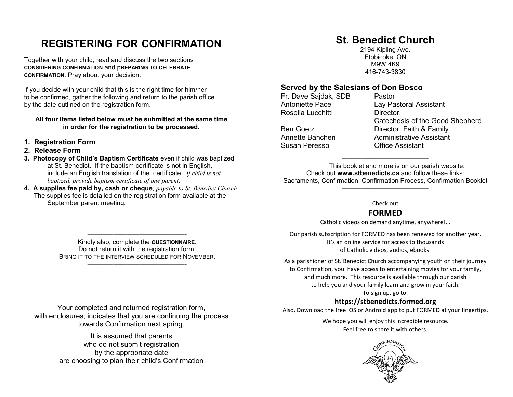# **REGISTERING FOR CONFIRMATION**

Together with your child, read and discuss the two sections **CONSIDERING CONFIRMATION** and p**REPARING TO CELEBRATE CONFIRMATION**. Pray about your decision.

If you decide with your child that this is the right time for him/her to be confirmed, gather the following and return to the parish office by the date outlined on the registration form.

#### **All four items listed below must be submitted at the same time in order for the registration to be processed.**

- **1. Registration Form**
- **2. Release Form**
- **3. Photocopy of Child's Baptism Certificate** even if child was baptized at St. Benedict. If the baptism certificate is not in English, include an English translation of the certificate. *If child is not baptized, provide baptism certificate of one parent*.
- **4. A supplies fee paid by, cash or cheque***, payable to St. Benedict Church* The supplies fee is detailed on the registration form available at the September parent meeting.

# **St. Benedict Church**

2194 Kipling Ave. Etobicoke, ON M9W 4K9 416-743-3830

#### **Served by the Salesians of Don Bosco**

Fr. Dave Sajdak, SDB Pastor Rosella Lucchitti Director,

Susan Peresso Office Assistant

Antoniette Pace **Lay Pastoral Assistant**  Catechesis of the Good Shepherd Ben Goetz **Director**, Faith & Family Annette Bancheri Administrative Assistant

 This booklet and more is on our parish website: Check out **www.stbenedicts.ca** and follow these links: Sacraments, Confirmation, Confirmation Process, Confirmation Booklet

—————————————-

#### Check out

—————————————-

## **FORMED**

Catholic videos on demand anytime, anywhere!...

Our parish subscription for FORMED has been renewed for another year. It's an online service for access to thousands of Catholic videos, audios, ebooks.

As a parishioner of St. Benedict Church accompanying youth on their journey to Confirmation, you have access to entertaining movies for your family, and much more. This resource is available through our parish to help you and your family learn and grow in your faith.

To sign up, go to:

## **https://stbenedicts.formed.org**

Also, Download the free iOS or Android app to put FORMED at your fingertips.

We hope you will enjoy this incredible resource. Feel free to share it with others.



 Kindly also, complete the **QUESTIONNAIRE**. Do not return it with the registration form. BRING IT TO THE INTERVIEW SCHEDULED FOR NOVEMBER.

———————————————-

———————————————-

Your completed and returned registration form, with enclosures, indicates that you are continuing the process towards Confirmation next spring.

> It is assumed that parents who do not submit registration by the appropriate date are choosing to plan their child's Confirmation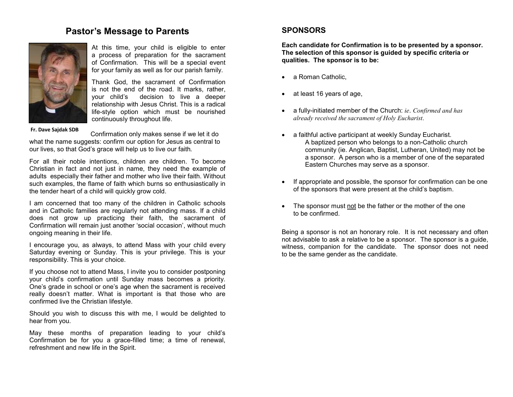## **Pastor's Message to Parents**



At this time, your child is eligible to enter a process of preparation for the sacrament of Confirmation*.* This will be a special event for your family as well as for our parish family.

Thank God, the sacrament of Confirmation is not the end of the road. It marks, rather, your child's decision to live a deeper relationship with Jesus Christ. This is a radical life-style option which must be nourished continuously throughout life.

**Fr. Dave Sajdak SDB** 

Confirmation only makes sense if we let it do what the name suggests: confirm our option for Jesus as central to our lives, so that God's grace will help us to live our faith*.* 

For all their noble intentions, children are children. To become Christian in fact and not just in name, they need the example of adults especially their father and mother who live their faith. Without such examples, the flame of faith which burns so enthusiastically in the tender heart of a child will quickly grow cold.

I am concerned that too many of the children in Catholic schools and in Catholic families are regularly not attending mass. If a child does not grow up practicing their faith, the sacrament of Confirmation will remain just another 'social occasion', without much ongoing meaning in their life.

I encourage you, as always, to attend Mass with your child every Saturday evening or Sunday. This is your privilege. This is your responsibility. This is your choice.

If you choose not to attend Mass, I invite you to consider postponing your child's confirmation until Sunday mass becomes a priority. One's grade in school or one's age when the sacrament is received really doesn't matter. What is important is that those who are confirmed live the Christian lifestyle.

Should you wish to discuss this with me, I would be delighted to hear from you.

May these months of preparation leading to your child's Confirmation be for you a grace-filled time; a time of renewal, refreshment and new life in the Spirit.

#### **SPONSORS**

**Each candidate for Confirmation is to be presented by a sponsor. The selection of this sponsor is guided by specific criteria or qualities. The sponsor is to be:** 

- a Roman Catholic,
- at least 16 years of age,
- a fully-initiated member of the Church: *ie*. *Confirmed and has already received the sacrament of Holy Eucharist*.
- a faithful active participant at weekly Sunday Eucharist. A baptized person who belongs to a non-Catholic church community (ie. Anglican, Baptist, Lutheran, United) may not be a sponsor. A person who is a member of one of the separated Eastern Churches may serve as a sponsor.
- If appropriate and possible, the sponsor for confirmation can be one of the sponsors that were present at the child's baptism.
- The sponsor must not be the father or the mother of the one to be confirmed.

Being a sponsor is not an honorary role. It is not necessary and often not advisable to ask a relative to be a sponsor. The sponsor is a guide, witness, companion for the candidate. The sponsor does not need to be the same gender as the candidate.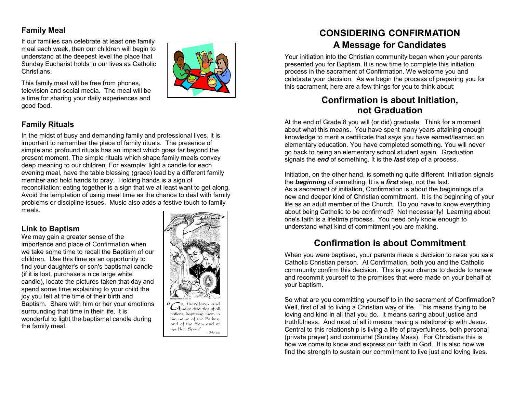## **Family Meal**

If our families can celebrate at least one family meal each week, then our children will begin to understand at the deepest level the place that Sunday Eucharist holds in our lives as Catholic Christians.



This family meal will be free from phones, television and social media. The meal will be a time for sharing your daily experiences and good food.

## **Family Rituals**

In the midst of busy and demanding family and professional lives, it is important to remember the place of family rituals. The presence of simple and profound rituals has an impact which goes far beyond the present moment. The simple rituals which shape family meals convey deep meaning to our children. For example: light a candle for each evening meal, have the table blessing (grace) lead by a different family member and hold hands to pray. Holding hands is a sign of reconciliation; eating together is a sign that we at least want to get along. Avoid the temptation of using meal time as the chance to deal with family problems or discipline issues. Music also adds a festive touch to family meals.

## **Link to Baptism**

 We may gain a greater sense of the importance and place of Confirmation when we take some time to recall the Baptism of our children. Use this time as an opportunity to find your daughter's or son's baptismal candle (if it is lost, purchase a nice large white candle), locate the pictures taken that day and spend some time explaining to your child the joy you felt at the time of their birth and Baptism. Share with him or her your emotions surrounding that time in their life. It is wonderful to light the baptismal candle during the family meal.



## **CONSIDERING CONFIRMATION A Message for Candidates**

Your initiation into the Christian community began when your parents presented you for Baptism. It is now time to complete this initiation process in the sacrament of Confirmation. We welcome you and celebrate your decision. As we begin the process of preparing you for this sacrament, here are a few things for you to think about:

## **Confirmation is about Initiation, not Graduation**

 At the end of Grade 8 you will (or did) graduate. Think for a moment about what this means. You have spent many years attaining enough knowledge to merit a certificate that says you have earned/learned an elementary education. You have completed something. You will never go back to being an elementary school student again. Graduation signals the *end* of something. It is the *last* step of a process.

Initiation, on the other hand, is something quite different. Initiation signals the *beginning* of something. It is a *first* step, not the last. As a sacrament of initiation, Confirmation is about the beginnings of a new and deeper kind of Christian commitment. It is the beginning of your life as an adult member of the Church. Do you have to know everything about being Catholic to be confirmed? Not necessarily! Learning about one's faith is a lifetime process. You need only know enough to understand what kind of commitment you are making.

## **Confirmation is about Commitment**

When you were baptised, your parents made a decision to raise you as a Catholic Christian person. At Confirmation, both you and the Catholic community confirm this decision. This is your chance to decide to renew and recommit yourself to the promises that were made on your behalf at your baptism.

So what are you committing yourself to in the sacrament of Confirmation? Well, first of all to living a Christian way of life. This means trying to be loving and kind in all that you do. It means caring about justice and truthfulness. And most of all it means having a relationship with Jesus. Central to this relationship is living a life of prayerfulness, both personal (private prayer) and communal (Sunday Mass). For Christians this is how we come to know and express our faith in God. It is also how we find the strength to sustain our commitment to live just and loving lives.